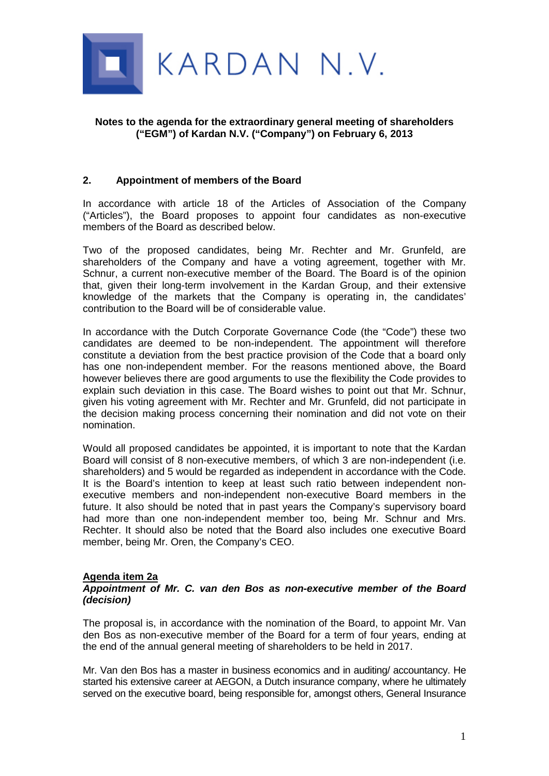

## **Notes to the agenda for the extraordinary general meeting of shareholders ("EGM") of Kardan N.V. ("Company") on February 6, 2013**

## **2. Appointment of members of the Board**

In accordance with article 18 of the Articles of Association of the Company ("Articles"), the Board proposes to appoint four candidates as non-executive members of the Board as described below.

Two of the proposed candidates, being Mr. Rechter and Mr. Grunfeld, are shareholders of the Company and have a voting agreement, together with Mr. Schnur, a current non-executive member of the Board. The Board is of the opinion that, given their long-term involvement in the Kardan Group, and their extensive knowledge of the markets that the Company is operating in, the candidates' contribution to the Board will be of considerable value.

In accordance with the Dutch Corporate Governance Code (the "Code") these two candidates are deemed to be non-independent. The appointment will therefore constitute a deviation from the best practice provision of the Code that a board only has one non-independent member. For the reasons mentioned above, the Board however believes there are good arguments to use the flexibility the Code provides to explain such deviation in this case. The Board wishes to point out that Mr. Schnur, given his voting agreement with Mr. Rechter and Mr. Grunfeld, did not participate in the decision making process concerning their nomination and did not vote on their nomination.

Would all proposed candidates be appointed, it is important to note that the Kardan Board will consist of 8 non-executive members, of which 3 are non-independent (i.e. shareholders) and 5 would be regarded as independent in accordance with the Code. It is the Board's intention to keep at least such ratio between independent nonexecutive members and non-independent non-executive Board members in the future. It also should be noted that in past years the Company's supervisory board had more than one non-independent member too, being Mr. Schnur and Mrs. Rechter. It should also be noted that the Board also includes one executive Board member, being Mr. Oren, the Company's CEO.

## **Agenda item 2a**

#### *Appointment of Mr. C. van den Bos as non-executive member of the Board (decision)*

The proposal is, in accordance with the nomination of the Board, to appoint Mr. Van den Bos as non-executive member of the Board for a term of four years, ending at the end of the annual general meeting of shareholders to be held in 2017.

Mr. Van den Bos has a master in business economics and in auditing/ accountancy. He started his extensive career at AEGON, a Dutch insurance company, where he ultimately served on the executive board, being responsible for, amongst others, General Insurance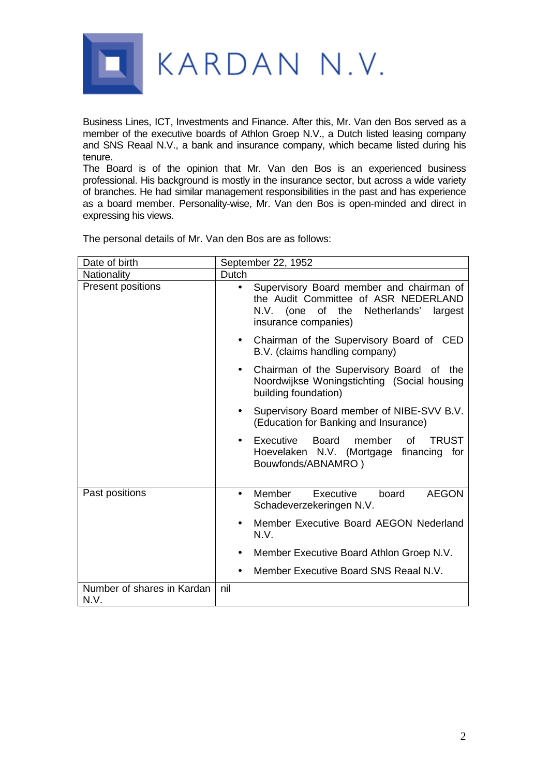

Business Lines, ICT, Investments and Finance. After this, Mr. Van den Bos served as a member of the executive boards of Athlon Groep N.V., a Dutch listed leasing company and SNS Reaal N.V., a bank and insurance company, which became listed during his tenure.

The Board is of the opinion that Mr. Van den Bos is an experienced business professional. His background is mostly in the insurance sector, but across a wide variety of branches. He had similar management responsibilities in the past and has experience as a board member. Personality-wise, Mr. Van den Bos is open-minded and direct in expressing his views.

| Date of birth                      | September 22, 1952                                                                                                                                                   |
|------------------------------------|----------------------------------------------------------------------------------------------------------------------------------------------------------------------|
| <b>Nationality</b>                 | Dutch                                                                                                                                                                |
| Present positions                  | Supervisory Board member and chairman of<br>$\bullet$<br>the Audit Committee of ASR NEDERLAND<br>the Netherlands'<br>N.V. (one of<br>largest<br>insurance companies) |
|                                    | Chairman of the Supervisory Board of CED<br>B.V. (claims handling company)                                                                                           |
|                                    | Chairman of the Supervisory Board of the<br>$\bullet$<br>Noordwijkse Woningstichting (Social housing<br>building foundation)                                         |
|                                    | Supervisory Board member of NIBE-SVV B.V.<br>٠<br>(Education for Banking and Insurance)                                                                              |
|                                    | Executive<br><b>Board</b><br>member<br><b>TRUST</b><br>οf<br>Hoevelaken N.V. (Mortgage financing for<br>Bouwfonds/ABNAMRO)                                           |
| Past positions                     | Member<br>Executive<br><b>AEGON</b><br>board<br>$\bullet$<br>Schadeverzekeringen N.V.                                                                                |
|                                    | Member Executive Board AEGON Nederland<br>N.V.                                                                                                                       |
|                                    | Member Executive Board Athlon Groep N.V.                                                                                                                             |
|                                    | Member Executive Board SNS Reaal N.V.                                                                                                                                |
| Number of shares in Kardan<br>N.V. | nil                                                                                                                                                                  |

The personal details of Mr. Van den Bos are as follows: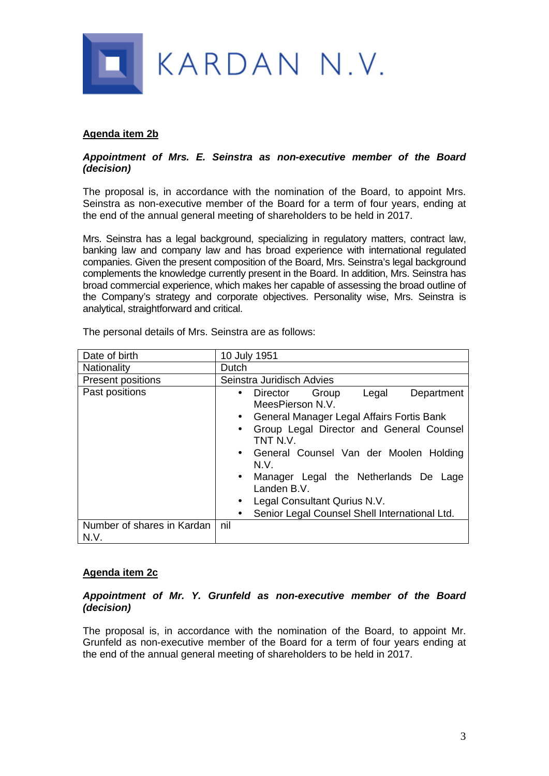

# **Agenda item 2b**

### *Appointment of Mrs. E. Seinstra as non-executive member of the Board (decision)*

The proposal is, in accordance with the nomination of the Board, to appoint Mrs. Seinstra as non-executive member of the Board for a term of four years, ending at the end of the annual general meeting of shareholders to be held in 2017.

Mrs. Seinstra has a legal background, specializing in regulatory matters, contract law, banking law and company law and has broad experience with international regulated companies. Given the present composition of the Board, Mrs. Seinstra's legal background complements the knowledge currently present in the Board. In addition, Mrs. Seinstra has broad commercial experience, which makes her capable of assessing the broad outline of the Company's strategy and corporate objectives. Personality wise, Mrs. Seinstra is analytical, straightforward and critical.

| Date of birth                      | 10 July 1951                                                                                                                                                                                                                                                                                                                                                                   |
|------------------------------------|--------------------------------------------------------------------------------------------------------------------------------------------------------------------------------------------------------------------------------------------------------------------------------------------------------------------------------------------------------------------------------|
| <b>Nationality</b>                 | <b>Dutch</b>                                                                                                                                                                                                                                                                                                                                                                   |
| <b>Present positions</b>           | Seinstra Juridisch Advies                                                                                                                                                                                                                                                                                                                                                      |
| Past positions                     | Group<br>Legal<br>Department<br>Director<br>$\bullet$<br>MeesPierson N.V.<br>General Manager Legal Affairs Fortis Bank<br>$\bullet$<br>Group Legal Director and General Counsel<br>$\bullet$<br>TNT N.V.<br>• General Counsel Van der Moolen Holding<br>N.V.<br>Manager Legal the Netherlands De Lage<br>$\bullet$<br>Landen B.V.<br>Legal Consultant Qurius N.V.<br>$\bullet$ |
|                                    | Senior Legal Counsel Shell International Ltd.<br>$\bullet$                                                                                                                                                                                                                                                                                                                     |
| Number of shares in Kardan<br>N.V. | nil                                                                                                                                                                                                                                                                                                                                                                            |

The personal details of Mrs. Seinstra are as follows:

## **Agenda item 2c**

### *Appointment of Mr. Y. Grunfeld as non-executive member of the Board (decision)*

The proposal is, in accordance with the nomination of the Board, to appoint Mr. Grunfeld as non-executive member of the Board for a term of four years ending at the end of the annual general meeting of shareholders to be held in 2017.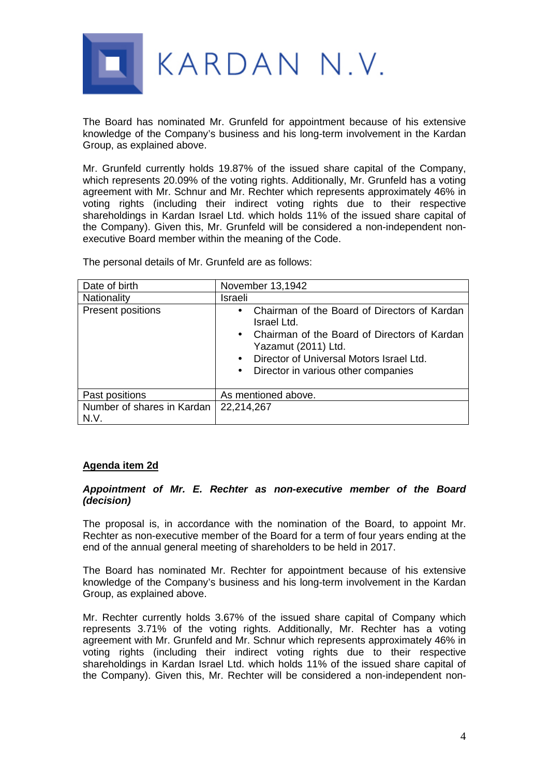

The Board has nominated Mr. Grunfeld for appointment because of his extensive knowledge of the Company's business and his long-term involvement in the Kardan Group, as explained above.

Mr. Grunfeld currently holds 19.87% of the issued share capital of the Company, which represents 20.09% of the voting rights. Additionally, Mr. Grunfeld has a voting agreement with Mr. Schnur and Mr. Rechter which represents approximately 46% in voting rights (including their indirect voting rights due to their respective shareholdings in Kardan Israel Ltd. which holds 11% of the issued share capital of the Company). Given this, Mr. Grunfeld will be considered a non-independent nonexecutive Board member within the meaning of the Code.

The personal details of Mr. Grunfeld are as follows:

| Date of birth                      | November 13,1942                                                                                                                                                                                                                                               |
|------------------------------------|----------------------------------------------------------------------------------------------------------------------------------------------------------------------------------------------------------------------------------------------------------------|
| Nationality                        | Israeli                                                                                                                                                                                                                                                        |
| Present positions                  | Chairman of the Board of Directors of Kardan<br>$\bullet$<br>Israel Ltd.<br>• Chairman of the Board of Directors of Kardan<br>Yazamut (2011) Ltd.<br>Director of Universal Motors Israel Ltd.<br>$\bullet$<br>Director in various other companies<br>$\bullet$ |
| Past positions                     | As mentioned above.                                                                                                                                                                                                                                            |
| Number of shares in Kardan<br>N.V. | 22,214,267                                                                                                                                                                                                                                                     |

## **Agenda item 2d**

### *Appointment of Mr. E. Rechter as non-executive member of the Board (decision)*

The proposal is, in accordance with the nomination of the Board, to appoint Mr. Rechter as non-executive member of the Board for a term of four years ending at the end of the annual general meeting of shareholders to be held in 2017.

The Board has nominated Mr. Rechter for appointment because of his extensive knowledge of the Company's business and his long-term involvement in the Kardan Group, as explained above.

Mr. Rechter currently holds 3.67% of the issued share capital of Company which represents 3.71% of the voting rights. Additionally, Mr. Rechter has a voting agreement with Mr. Grunfeld and Mr. Schnur which represents approximately 46% in voting rights (including their indirect voting rights due to their respective shareholdings in Kardan Israel Ltd. which holds 11% of the issued share capital of the Company). Given this, Mr. Rechter will be considered a non-independent non-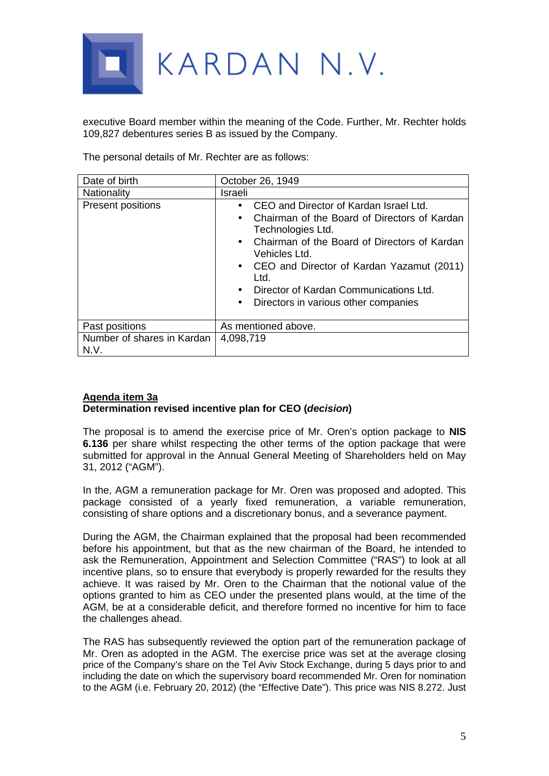

executive Board member within the meaning of the Code. Further, Mr. Rechter holds 109,827 debentures series B as issued by the Company.

The personal details of Mr. Rechter are as follows:

| Date of birth                      | October 26, 1949                                                                                                                                                                                                                                                                                                                                  |
|------------------------------------|---------------------------------------------------------------------------------------------------------------------------------------------------------------------------------------------------------------------------------------------------------------------------------------------------------------------------------------------------|
| Nationality                        | Israeli                                                                                                                                                                                                                                                                                                                                           |
| Present positions                  | CEO and Director of Kardan Israel Ltd.<br>Chairman of the Board of Directors of Kardan<br>Technologies Ltd.<br>• Chairman of the Board of Directors of Kardan<br>Vehicles Ltd.<br>• CEO and Director of Kardan Yazamut (2011)<br>Ltd.<br>Director of Kardan Communications Ltd.<br>$\bullet$<br>Directors in various other companies<br>$\bullet$ |
| Past positions                     | As mentioned above.                                                                                                                                                                                                                                                                                                                               |
| Number of shares in Kardan<br>N.V. | 4,098,719                                                                                                                                                                                                                                                                                                                                         |

# **Agenda item 3a Determination revised incentive plan for CEO (***decision***)**

The proposal is to amend the exercise price of Mr. Oren's option package to **NIS 6.136** per share whilst respecting the other terms of the option package that were submitted for approval in the Annual General Meeting of Shareholders held on May 31, 2012 ("AGM").

In the, AGM a remuneration package for Mr. Oren was proposed and adopted. This package consisted of a yearly fixed remuneration, a variable remuneration, consisting of share options and a discretionary bonus, and a severance payment.

During the AGM, the Chairman explained that the proposal had been recommended before his appointment, but that as the new chairman of the Board, he intended to ask the Remuneration, Appointment and Selection Committee ("RAS") to look at all incentive plans, so to ensure that everybody is properly rewarded for the results they achieve. It was raised by Mr. Oren to the Chairman that the notional value of the options granted to him as CEO under the presented plans would, at the time of the AGM, be at a considerable deficit, and therefore formed no incentive for him to face the challenges ahead.

The RAS has subsequently reviewed the option part of the remuneration package of Mr. Oren as adopted in the AGM. The exercise price was set at the average closing price of the Company's share on the Tel Aviv Stock Exchange, during 5 days prior to and including the date on which the supervisory board recommended Mr. Oren for nomination to the AGM (i.e. February 20, 2012) (the "Effective Date"). This price was NIS 8.272. Just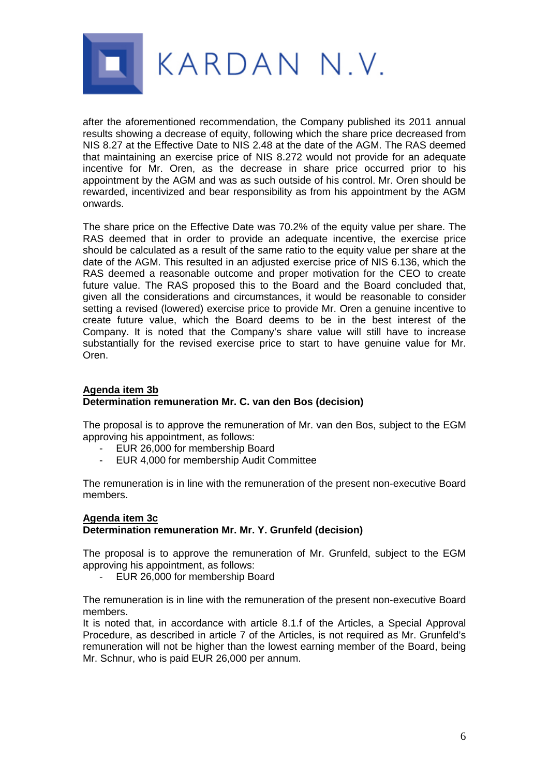

after the aforementioned recommendation, the Company published its 2011 annual results showing a decrease of equity, following which the share price decreased from NIS 8.27 at the Effective Date to NIS 2.48 at the date of the AGM. The RAS deemed that maintaining an exercise price of NIS 8.272 would not provide for an adequate incentive for Mr. Oren, as the decrease in share price occurred prior to his appointment by the AGM and was as such outside of his control. Mr. Oren should be rewarded, incentivized and bear responsibility as from his appointment by the AGM onwards.

The share price on the Effective Date was 70.2% of the equity value per share. The RAS deemed that in order to provide an adequate incentive, the exercise price should be calculated as a result of the same ratio to the equity value per share at the date of the AGM. This resulted in an adjusted exercise price of NIS 6.136, which the RAS deemed a reasonable outcome and proper motivation for the CEO to create future value. The RAS proposed this to the Board and the Board concluded that, given all the considerations and circumstances, it would be reasonable to consider setting a revised (lowered) exercise price to provide Mr. Oren a genuine incentive to create future value, which the Board deems to be in the best interest of the Company. It is noted that the Company's share value will still have to increase substantially for the revised exercise price to start to have genuine value for Mr. Oren.

## **Agenda item 3b Determination remuneration Mr. C. van den Bos (decision)**

The proposal is to approve the remuneration of Mr. van den Bos, subject to the EGM approving his appointment, as follows:

- EUR 26,000 for membership Board<br>- EUR 4,000 for membership Audit Co
- EUR 4,000 for membership Audit Committee

The remuneration is in line with the remuneration of the present non-executive Board members.

#### **Agenda item 3c Determination remuneration Mr. Mr. Y. Grunfeld (decision)**

The proposal is to approve the remuneration of Mr. Grunfeld, subject to the EGM approving his appointment, as follows:

- EUR 26,000 for membership Board

The remuneration is in line with the remuneration of the present non-executive Board members.

It is noted that, in accordance with article 8.1.f of the Articles, a Special Approval Procedure, as described in article 7 of the Articles, is not required as Mr. Grunfeld's remuneration will not be higher than the lowest earning member of the Board, being Mr. Schnur, who is paid EUR 26,000 per annum.